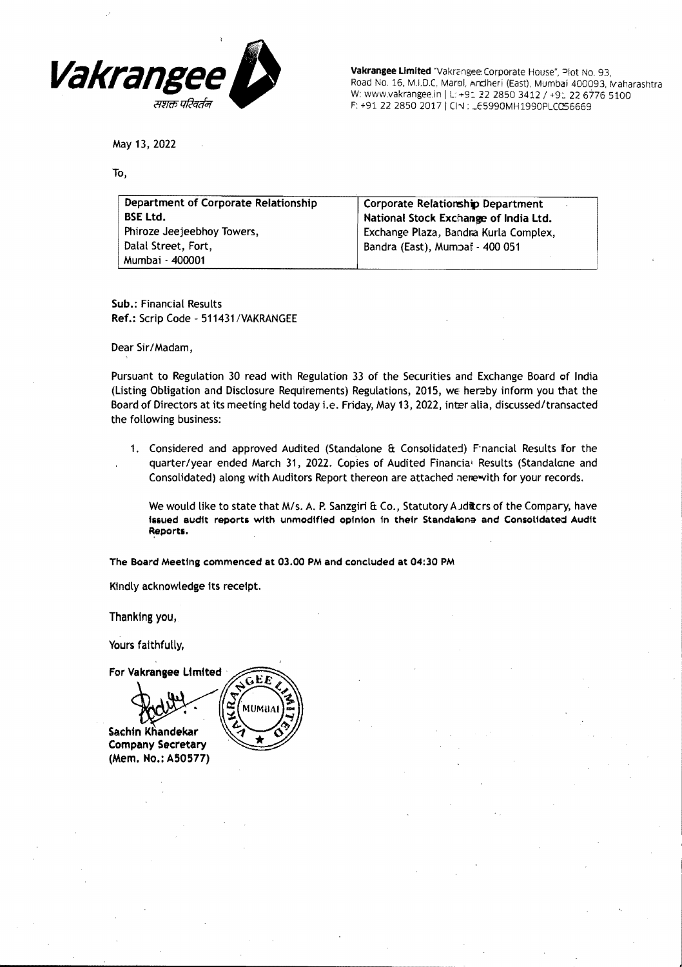

Vakrangee Limited "Vakrangee: Corporate House", Plot No. 93, Road No. 16, M.I.D.C. Marol, Andheri (East), Mumbai 400093, Maharashtra W: www.vakrangee.in | L: +91 22 2850 3412 / +91 22 6776 5100 F: +91 22 2850 2017 | CIN : LE5990MH1990PLCC56669

May 13, 2022

To,

| Department of Corporate Relationship | Corporate Relationship Department     |
|--------------------------------------|---------------------------------------|
| <b>BSE Ltd.</b>                      | National Stock Exchange of India Ltd. |
| Phiroze Jeejeebhoy Towers,           | Exchange Plaza, Bandra Kurla Complex, |
| Dalal Street, Fort,                  | Bandra (East), Mumpat - 400 051       |
| Mumbai - 400001                      |                                       |

Sub.: Financial Results Ref.: Scrip Code - 511431/VAKRANGEE

Dear Sir/Madam,

Pursuant to Regulation 30 read with Regulation 33 of the Securities and Exchange Board of India (Listing Obligation and Disclosure Requirements) Regulations, 2015, WE her?by inform you that the Board of Directors at its meeting held today i.e. Friday, May 13, 2022, inter alia, discussed/transacted the following business:

1. Considered and approved Audited (Standalone & Consolidated) F-nancial Results for the quarter/year ended March 31, 2022. Copies of Audited Financial Results (Standalcne and Consolidated) along with Auditors Report thereon are attached nere with for your records.

We would like to state that M/s. A. P. Sanzgiri & Co., Statutory Auditors of the Compary, have issued audit reports with unmodified opinion in their Standalona and Consolidated Audit Reports.

The Board Meeting commenced at 03.00 PM and concluded at 04:30 PM

Kindly acknowledge Its receipt.

Thanking you,

Yours faithfully.

For Vakrangee Limited GEE **MUMB** Sachin Khandekar **Company Secretary** (Mem. No.: A50577)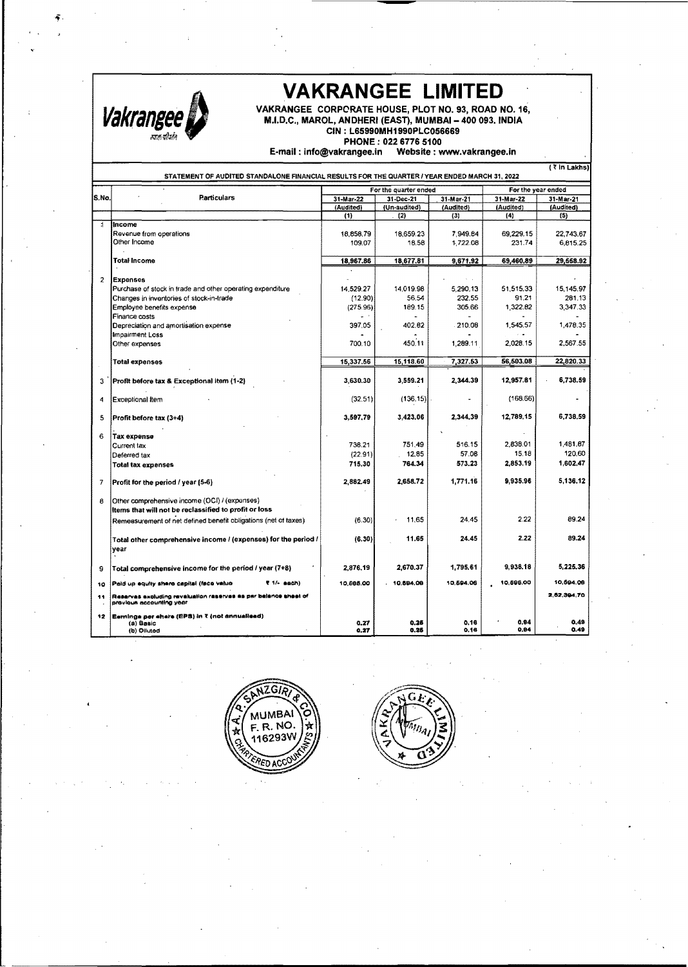

12

# VAKRANGEE LIMITED

VAKRANGEE CORPORATE HOUSE, PLOT NO. 93, ROAD NO. 16, M.I.D.C., MAROL, ANDHERI (EAST), MUMBAI- 400093. INDIA CIN : L65990MH1990PLC056669

PHONE: 02267765100

E·mail: info@vakrangee.in Website: www.vakrangee.in

|                | ( र in Lakhs)<br>STATEMENT OF AUDITED STANDALONE FINANCIAL RESULTS FOR THE QUARTER / YEAR ENDED MARCH 31, 2022 |           |              |                    |           |             |
|----------------|----------------------------------------------------------------------------------------------------------------|-----------|--------------|--------------------|-----------|-------------|
|                | For the quarter ended                                                                                          |           |              | For the year ended |           |             |
| S.No.          | <b>Particulars</b>                                                                                             | 31-Mar-22 | 31-Dec-21    | 31-Mar-21          | 31-Mar-22 | 31-Mar-21   |
|                |                                                                                                                | (Audited) | (Un-audited) | (Audited)          | (Audited) | (Audited)   |
|                |                                                                                                                | (1)       | (2)          | (3)                | (4)       | (5)         |
|                | Income                                                                                                         |           |              |                    |           |             |
|                | Revenue from operations                                                                                        | 18.858.79 | 18.659.23    | 7.949.84           | 69.229.15 | 22.743.67   |
|                | Other Income                                                                                                   | 109.07    | 18.58        | 1.722.08           | 231.74    | 6,815.25    |
|                |                                                                                                                |           |              |                    |           |             |
|                | Total Income                                                                                                   | 18,967.86 | 18,677.81    | 9,671.92           | 69,460,89 | 29,668.92   |
|                |                                                                                                                |           |              |                    |           |             |
| $\overline{2}$ | <b>Expenses</b>                                                                                                |           |              |                    |           |             |
|                | Purchase of stock in trade and other operating expenditure                                                     | 14.529.27 | 14,019.98    | 5,290.13           | 51,515.33 | 15,145.97   |
|                | Changes in inventories of stock-in-trade                                                                       | (12.90)   | 56.54        | 232.55             | 91.21     | 281.13      |
|                | Employee benefits expense                                                                                      | (275.96)  | 189.15       | 305.66             | 1,322.82  | 3,347.33    |
|                | Finance costs                                                                                                  |           |              |                    |           |             |
|                | Depreciation and amortisation expense                                                                          | 397.05    | 402.82       | 210.08             | 1,545.57  | 1,478.35    |
|                | <b>Impairment Loss</b>                                                                                         |           |              |                    |           |             |
|                | Other expenses                                                                                                 | 700.10    | 450.11       | 1,289.11           | 2.028.15  | 2,567.55    |
|                |                                                                                                                |           |              |                    |           |             |
|                | Total expenses                                                                                                 | 15,337.56 | 15,118.60    | 7,327.53           | 56,503.08 | 22,820.33   |
| 3              | Profit before tax & Exceptional item (1-2)                                                                     | 3,630.30  | 3.559.21     | 2,344.39           | 12,957.81 | 6.738.59    |
| 4              | <b>Exceptional Item</b>                                                                                        | (32.51)   | $(136.15)$ . |                    | (168.66)  |             |
| 5              | Profit before tax (3+4)                                                                                        | 3.597.79  | 3,423,06     | 2.344.39           | 12,789,15 | 6,738,59    |
| 6              | <b>Tax expense</b>                                                                                             |           |              |                    |           |             |
|                | Current tax                                                                                                    | 738.21    | 751.49       | 516.15             | 2,838.01  | 1,481.87    |
|                | Deferred tax                                                                                                   | (22.91)   | 12.85        | 57.08              | 15.18     | 120.60      |
|                |                                                                                                                | 715.30    | 764.34       | 573.23             | 2,853,19  | 1.602.47    |
|                | <b>Total tax expenses</b>                                                                                      |           |              |                    |           |             |
| $\overline{7}$ | Profit for the period / year (5-6)                                                                             | 2,882.49  | 2,658.72     | 1,771.16           | 9,935,96  | 5.136.12    |
| 8              | Other comprehensive income (OCI) / (expenses)<br>Items that will not be reclassified to profit or loss         |           |              |                    |           |             |
|                | Remeasurement of net defined benefit obligations (net of taxes)                                                | (6.30)    | 11.65        | 24.45              | 2.22      | 89.24       |
|                | Total other comprehensive income / (expenses) for the period /<br>vear                                         | (6.30)    | 11.65        | 24.45              | 2.22      | 89.24       |
| 9              | Total comprehensive income for the period / year (7+8)                                                         | 2.876.19  | 2,670.37     | 1.795.61           | 9,938.18  | 5,225.36    |
| 10             | <b><i><u>*</u></i></b> 1/- eggh)<br>Paid up equity shere capital (face value                                   | 10,695.00 | 10.694.09    | 10.694.06          | 10.595.00 | 10.594.06   |
| 11             | Reserves expluding revaluation reserves as par belance sheet of<br>provious accounting year                    |           |              |                    |           | 2.82.394.70 |

singa per a<br>(a) Sasic<br>(b) Oiluted (a) Basic 0.27 0.27 0.28 0.18 0.18 0.94 (b) Oilutod 0.27 **0.27** 0.26 0.18 0.18 0.94





0.49 0.48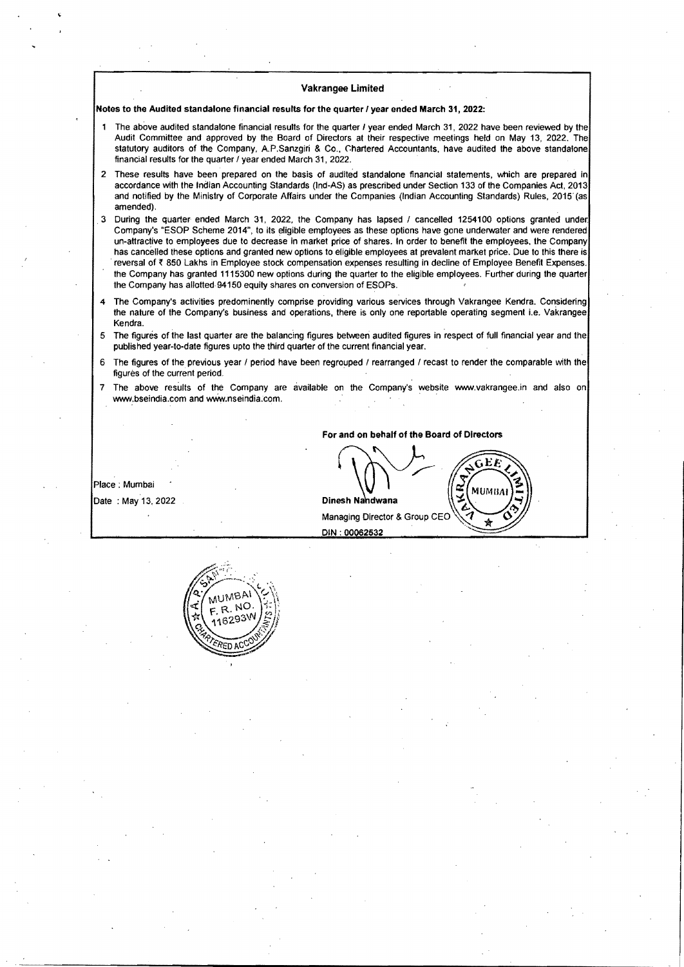Notes to the Audited standalone financial results for the quarter / year ended March 31, 2022:

- The above audited standalone financial results for the quarter I year ended March 31, 2022 have been reviewed by the Audit Committee and approved by the Board of Directors at their respective meetings held on May 13, 2022. The statutory auditors of the Company, A.P.Sanzgiri & Co., Chartered Accountants, have audited the above standalone financial results for the quarter / year ended March 31. 2022.
- 2 These results have been prepared on the basis of audited standalone financial statements, which are prepared in accordance with the Indian Accounting Standards (Ind-AS) as prescribed under Section 133 of the Companies Act. 2013 and notified by the Ministry of Corporate Affairs under the Companies (Indian Accounting Standards) Rules, 2015 (as amended) .
- . 3 During the quarter ended March 31, 2022, the Company has lapsed / cancelled 1254100 options granted under. Company's "ESOP Scheme 2014", to its eligible employees as these options have gone underwater and were rendered un-attractive to employees due to decrease in market price of shares. In order to benefit the employees, the Company has cancelled these options and granted new options to eligible employees at prevalent market price. Due to this there is reversal of ₹850 Lakhs in Employee stock compensation expenses resulting in decline of Employee Benefit Expenses. the Company has granted 1115300 new options during the quarter to the eligible employees. Further during the quarter the Company has allotted· 94150 equity shares on conversion of ESOPs.
- 4 The Company's activities predominently comprise providing various services through Vakrangee Kendra. Considering the nature of the Company's business and operations, there is only one reportable operating segment i.e. Vakrangee Kendra.
- 5 The figures of the last quarter are the balancing figures between audited figures in respect of full financial year and the published year-to-date figures upto the third quarter of the current financial year.
- 6 The figures of the previous year I period have been regrouped / rearranged / recast to render the comparable with the figures of the current period.
- The above results of the Company are available on the Company's website www.vakrangee.in and also on www.bseindia.com and www.nseindia.com.

For and on behalf of the Board of Directors  $\sqrt{2\pi G E E}$ 

Place : Mumbai Date : May 13, 2022

Dinesh Nandwana<br>Managing Director & Group CEO DIN: 00062532

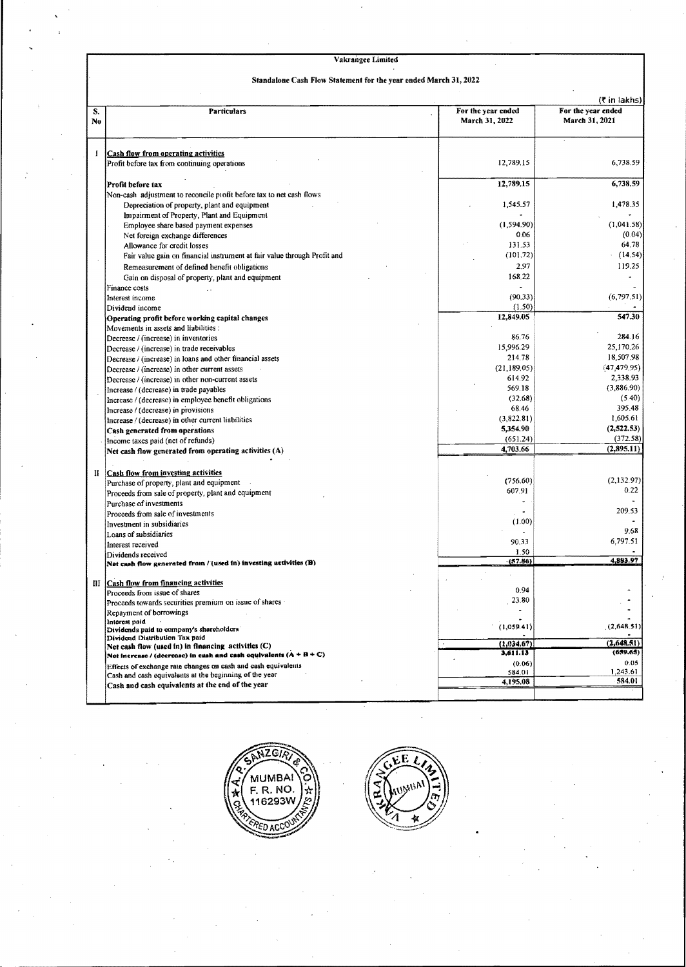#### Standalone Cash Flow Statement for the year ended March 31, 2022

|          |                                                                                          |                                      | (₹ in lakhs)                         |
|----------|------------------------------------------------------------------------------------------|--------------------------------------|--------------------------------------|
| S,<br>No | <b>Particulars</b>                                                                       | For the year ended<br>March 31, 2022 | For the year ended<br>March 31, 2021 |
| I        | Cash flow from operating activities                                                      |                                      |                                      |
|          | Profit before tax from continuing operations                                             | 12,789.15                            | 6,738.59                             |
|          | Profit before tax                                                                        | 12,789.15                            | 6,738,59                             |
|          | Non-cash adjustment to reconcile profit before tax to net cash flows                     |                                      |                                      |
|          | Depreciation of property, plant and equipment                                            | 1,545.57                             | 1,478.35                             |
|          | Impairment of Property, Plant and Equipment                                              |                                      |                                      |
|          | Employee share based payment expenses                                                    | (1,594.90)                           | (1.041.58)                           |
|          | Net foreign exchange differences                                                         | 0.06                                 | (0.04)                               |
|          | Allowance for credit losses                                                              | 131.53                               | 64.78                                |
|          | Fair value gain on financial instrument at fair value through Profit and                 | (101.72)                             | (14.54)                              |
|          | Remeasurement of defined benefit obligations                                             | 2.97                                 | 119.25                               |
|          | Gain on disposal of property, plant and equipment                                        | 168.22                               |                                      |
|          | Finance costs                                                                            |                                      |                                      |
|          | Interest income                                                                          | (90.33)                              | (6,797.51)                           |
|          | Dividend income                                                                          | (1.50)                               |                                      |
|          | Operating profit before working capital changes<br>Movements in assets and liabilities : | 12,849.05                            | 547.30                               |
|          | Decrease / (increase) in inventories                                                     | 86.76                                | 284.16                               |
|          | Decrease / (increase) in trade receivables                                               | 15,996.29                            | 25,170.26                            |
|          | Decrease / (increase) in loans and other financial assets                                | 214.78                               | 18,507.98                            |
|          | Decrease / (increase) in other current assets                                            | (21, 189.05)                         | (47, 479, 95)                        |
|          | Decrease / (increase) in other non-current assets                                        | 614.92                               | 2,338.93                             |
|          | Increase / (decrease) in trade payables                                                  | 569.18                               | (3,886.90)                           |
|          | Increase / (decrease) in employee benefit obligations                                    | (32.68)                              | (5.40)                               |
|          | Increase / (decrease) in provisions                                                      | 68.46                                | 395.48                               |
|          | Increase / (decrease) in other current liabilities                                       | (3,822.81)                           | 1,605.61                             |
|          | Cash generated from operations                                                           | 5,354.90                             | (2,522.53)                           |
|          | Income taxes paid (net of refunds)                                                       | (651.24)                             | (372.58)                             |
|          | Net cash flow generated from operating activities (A)                                    | 4,703.66                             | (2,895,11)                           |
| П        | Cash flow from investing activities                                                      |                                      |                                      |
|          | Purchase of property, plant and equipment                                                | (756.60)                             | (2,132.97)                           |
|          | Proceeds from sale of property, plant and equipment                                      | 607.91                               | 0.22                                 |
|          | Purchase of investments                                                                  |                                      |                                      |
|          | Proceeds from sale of investments                                                        | $\ddot{\phantom{0}}$                 | 209.53                               |
|          | Investment in subsidiaries                                                               | (1.00)                               |                                      |
|          | Loans of subsidiaries                                                                    |                                      | 9.68                                 |
|          | Interest received                                                                        | 90.33                                | 6,797.51                             |
|          | Dividends received<br>Net cash flow generated from / (used in) investing activities (B)  | 1.50<br>(57.86)                      | 4,883.97                             |
| Ш        | Cash flow from financing activities                                                      |                                      |                                      |
|          | Proceeds from issue of shares                                                            | 0.94                                 |                                      |
|          | Proceeds towards securities premium on issue of shares -                                 | 23.80                                |                                      |
|          | Repayment of borrowings                                                                  |                                      |                                      |
|          | Interest paid                                                                            | (1,059.41)                           | (2,648.51)                           |
|          | Dividends paid to company's shareholders                                                 |                                      |                                      |
|          | Dividend Distribution Tax paid<br>Net cash flow (used in) in financing activities (C)    | (1,034.67)                           | (2,648.51)                           |
|          | Net increase / (decrease) in eash and cash equivalents $(A + B + C)$                     | 3.611.13                             | (659.65)                             |
|          | Effects of exchange rate changes on cash and cash equivalents                            | (0.06)                               | 0.05                                 |
|          | Cash and cash equivalents at the beginning of the year                                   | 584.01                               | 1,243.61                             |
|          | Cash and cash equivalents at the end of the year                                         | 4,195.08                             | 584.01                               |
|          |                                                                                          |                                      |                                      |



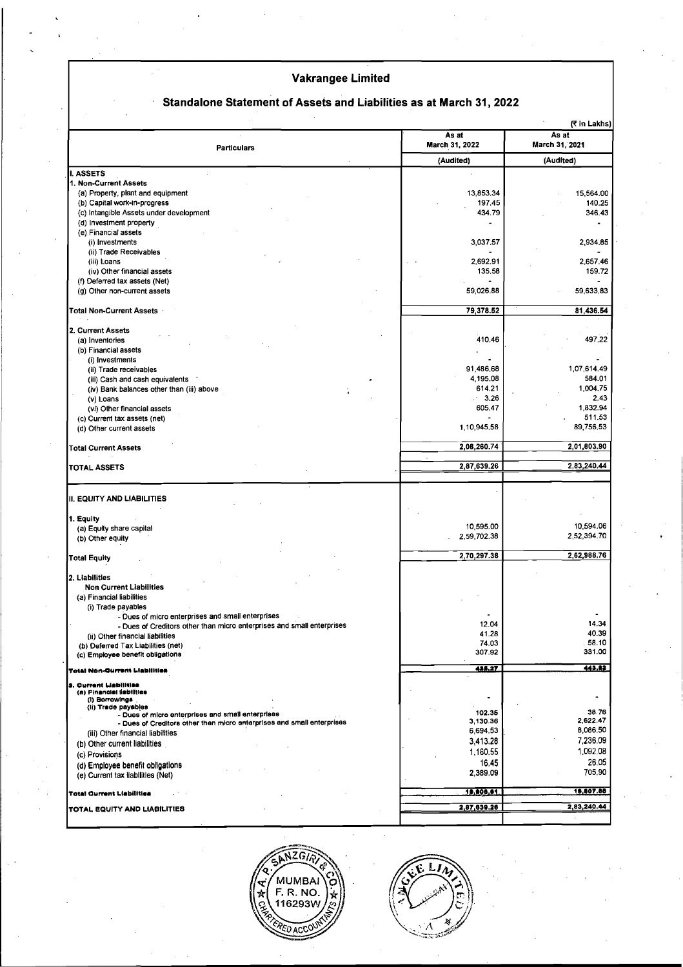# Standalone Statement of Assets and Liabilities as at March 31, 2022

|                                                                        | (₹ in Lakhs)            |                         |
|------------------------------------------------------------------------|-------------------------|-------------------------|
| <b>Particulars</b>                                                     | As at<br>March 31, 2022 | As at<br>March 31, 2021 |
|                                                                        | (Audited)               | (Audited)               |
| I. ASSETS                                                              |                         |                         |
| 1. Non-Current Assets                                                  |                         |                         |
| (a) Property, plant and equipment                                      | 13,853.34               | 15,564.00               |
| (b) Capital work-in-progress                                           | 197.45                  | 140.25                  |
| (c) Intangible Assets under development                                | 434.79                  | 346.43                  |
| (d) Investment property                                                |                         |                         |
| (e) Financial assets                                                   |                         |                         |
| (i) Investments                                                        | 3,037.57                | 2,934.85                |
| (ii) Trade Receivables                                                 | 2,692.91                | 2,657.46                |
| (iii) Loans<br>(iv) Other financial assets                             | 135,58                  | 159.72                  |
| (f) Deferred tax assets (Net)                                          |                         |                         |
| (g) Other non-current assets                                           | 59,026.88               | 59,633.83               |
|                                                                        |                         |                         |
| <b>Total Non-Current Assets</b>                                        | 79,378.52               | 81,436.54               |
|                                                                        |                         |                         |
| 2. Current Assets                                                      |                         |                         |
| (a) Inventories                                                        | 410.46                  | 497.22                  |
| (b) Financial assets                                                   |                         |                         |
| (i) Investments                                                        |                         |                         |
| (ii) Trade receivables                                                 | 91,486.68               | 1,07,614.49             |
| (iii) Cash and cash equivalents                                        | 4,195.08                | 584.01                  |
| (iv) Bank balances other than (iii) above                              | 614.21                  | 1,004.75                |
| (v) Loans                                                              | 3.26<br>ik.             | 2.43                    |
| (vi) Other financial assets                                            | 605.47                  | 1,832.94                |
| (c) Current tax assets (net)                                           |                         | 511.53                  |
| (d) Other current assets                                               | 1,10,945.58             | 89,756.53               |
| <b>Total Current Assets</b>                                            | 2,08,260.74             | 2,01,803.90             |
| TOTAL ASSETS                                                           | 2,87,639.26             | 2,83,240.44             |
|                                                                        |                         |                         |
| III. EQUITY AND LIABILITIES                                            |                         |                         |
| 1. Equity                                                              |                         |                         |
| (a) Equity share capital                                               | 10,595.00               | 10,594.06               |
| (b) Other equity                                                       | 2,59,702.38             | 2,52,394.70             |
|                                                                        |                         |                         |
| <b>Total Equity</b>                                                    | 2,70,297.38             | 2,62,988.76             |
| 2. Liabilities                                                         |                         |                         |
| <b>Non Current Liabilities</b>                                         |                         |                         |
| (a) Financial liabilities                                              |                         |                         |
| (i) Trade payables                                                     |                         |                         |
| - Dues of micro enterprises and small enterprises                      |                         |                         |
| - Dues of Creditors other than micro enterprises and small enterprises | 12.04                   | 14.34                   |
| (ii) Other financial liabilities                                       | 41.28                   | 40.39                   |
| (b) Deferred Tax Liabilities (net)                                     | 74.03                   | 58.10                   |
| (c) Employee benefit obligations                                       | 307.92                  | 331.00                  |
| <b>Total Non-Gurrent Liabilities</b>                                   | 435.77                  | 443.82                  |
| <b>3. Ourrent Liabilities</b>                                          |                         |                         |
| (a) Financial liabilities                                              |                         | ٠                       |
| (I) Borrowings<br>(ii) Trade payables                                  |                         |                         |
| - Dues of micro enterprises and small enterprises                      | 102.35                  | 38.76<br>2,622.47       |
| - Dues of Creditors other then micro enterprises and small enterprises | 3,130.36<br>6,694.53    | 8,086.50                |
| (iii) Other financial liabilities                                      | 3,413.28                | 7,236.09                |
| (b) Other current liabilities                                          | 1.160.55                | 1,092.08                |
| (c) Provisions                                                         | 16,45                   | 26.05                   |
| (d) Employee benefit obligations                                       | 2,389.09                | 705.90                  |
| (e) Current tax liabilities (Net)                                      |                         |                         |
| <b>Total Current Liabilities</b>                                       | 18,008,01               | 18.807.88               |
| <b>TOTAL EQUITY AND LIABILITIES</b>                                    | 2,87,639.26             | 2,83,240.44             |
|                                                                        |                         |                         |

\ZG7 MUMBAI<br>F. R. NO.<br>116293W ÷

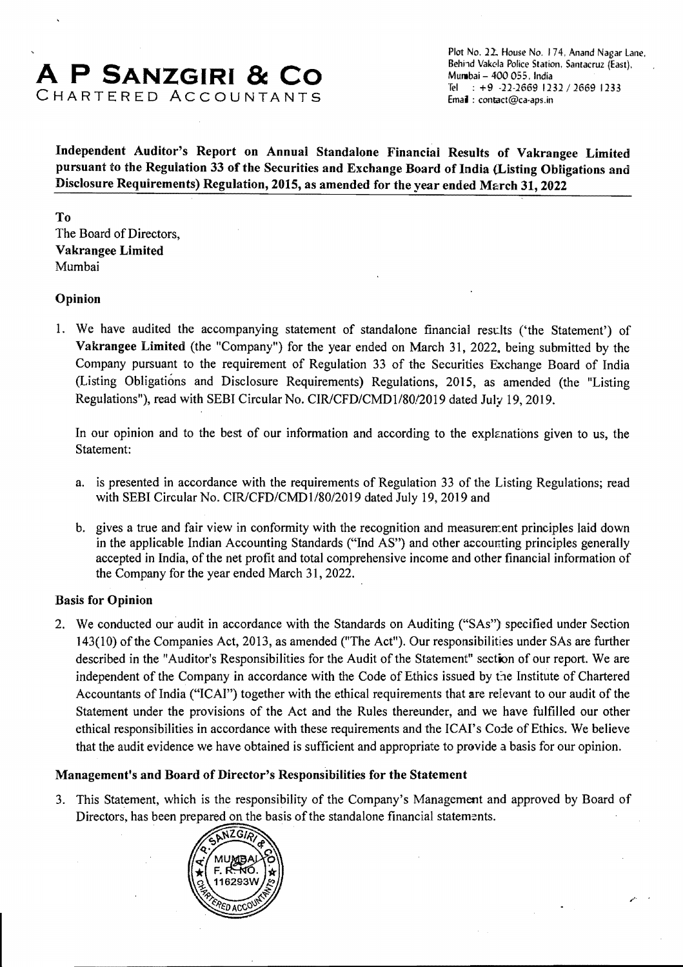# A **P SANZGIRI & CO**  CHARTERED ACCOUNTANTS

Plot No. 22: House No. 174, Anand Nagar Lane. Behind Vakela Police Station. Santacruz (East). Mundbai - 400 055, India Tel: +9 -22-2669 1232 / 2669 1233<br>Email: contact@ca-aps.in

Independent Auditor's Report on Annual Standalone Financial Results of Vakrangee Limited pursuant to the Regulation 33 of the Securities and Exchange Board of India (Listing Obligations and Disclosure Requirements) Regulation, 2015, as amended for the year ended March 31, 2022

To The Board of Directors, Vakrangee Limited Mumbai

#### Opinion

1. We have audited the accompanying statement of standalone financial results ('the Statement') of Vakrangee Limited (the "Company") for the year ended on March 31, 2022. being submitted by the Company pursuant to the requirement of Regulation 33 of the Securities Exchange Board of India (Listing Obligations and Disclosure Requirements) Regulations, 2015, as amended (the "Listing Regulations"), read with SEBI Circular No. *CIR/CFD/CMD1/80/2019* dated July 19, 2019.

In our opinion and to the best of our information and according to the explanations given to us, the Statement:

- a. is presented in accordance with the requirements of Regulation 33 of the Listing Regulations; read with SEBI Circular No. CIR/CFD/CMD1/80/2019 dated July 19, 2019 and
- b. gives a true and fair view in conformity with the recognition and measurement principles laid down in the applicable Indian Accounting Standards ("Ind AS") and other accounting principles generally accepted in India, of the net profit and total comprehensive income and other financial information of the Company for the year ended March 31, 2022.

#### Basis for Opinion

2. We conducted our audit in accordance with the Standards on Auditing ("'SAs") specified under Section 143(10) of the Companies Act, 2013, as amended ("The Act"). Our responsibilities under SAs are further described in the "Auditor's Responsibilities for the Audit of the Statement" section of our report. We are independent of the Company in accordance with the Code of Ethics issued by the Institute of Chartered Accountants of India ("ICAI") together with the ethical requirements that are relevant to our audit of the Statement under the provisions of the Act and the Rules thereunder, and we have fulfilled our other ethical responsibilities in accordance with these requirements and the ICAl's Code of Ethics. We believe that the audit evidence we have obtained is sufficient and appropriate to provide a basis for our opinion.

#### Management's and Board of Director's Responsibilities for the Statement

3. This Statement, which is the responsibility of the Company's Management and approved by Board of Directors, has been prepared on the basis of the standalone financial statements.

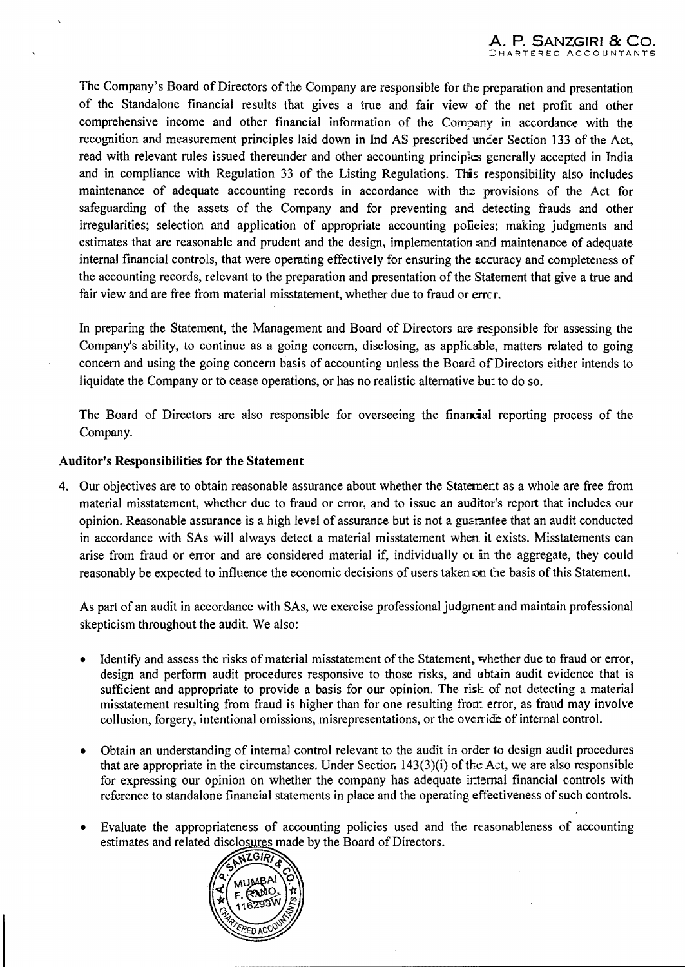The Company's Board of Directors of the Company are responsible for the preparation and presentation of the Standalone financial results that gives a true and fair view of the net profit and other comprehensive income and other financial information of the Company in accordance with the recognition and measurement principles laid down in Ind AS prescribed uncer Section 133 of the Act, read with relevant rules issued thereunder and other accounting principles generally accepted in India and in compliance with Regulation 33 of the Listing Regulations. This responsibility also includes maintenance of adequate accounting records in accordance with the provisions of the Act for safeguarding of the assets of the Company and for preventing and detecting frauds and other irregularities; selection and application of appropriate accounting policies; making judgments and estimates that are reasonable and prudent and the design, implementation and maintenance of adequate internal financial controls, that were operating effectively for ensuring the accuracy and completeness of the accounting records, relevant to the preparation and presentation of the Statement that give a true and fair view and are free from material misstatement, whether due to fraud or errcr.

In preparing the Statement, the Management and Board of Directors are responsible for assessing the Company's ability, to continue as a going concern, disclosing, as applicable, matters related to going concern and using the going concern basis of accounting unless the Board of Directors either intends to liquidate the Company or to cease operations, or has no realistic alternative bu:: to do so.

The Board of Directors are also responsible for overseeing the financial reporting process of the Company.

#### Auditor's Responsibilities for the Statement

4. Our objectives are to obtain reasonable assurance about whether the Statement as a whole are free from material misstatement, whether due to fraud or error, and to issue an auditor's report that includes our opinion. Reasonable assurance is a high level of assurance but is not a guarantee that an audit conducted in accordance with SAs will always detect a material misstatement when it exists. Misstatements can arise from fraud or error and are considered material if, individually or in the aggregate, they could reasonably be expected to influence the economic decisions of users taken on the basis of this Statement.

As part of an audit in accordance with SAs, we exercise professional judgment and maintain professional skepticism throughout the audit. We also:

- Identify and assess the risks of material misstatement of the Statement, whether due to fraud or error, design and perform audit procedures responsive to those risks, and obtain audit evidence that is sufficient and appropriate to provide a basis for our opinion. The risk of not detecting a material misstatement resulting from fraud is higher than for one resulting fron: error, as fraud may involve collusion, forgery, intentional omissions, misrepresentations, or the override of internal control.
- Obtain an understanding of internal control relevant to the audit in order 10 design audit procedures that are appropriate in the circumstances. Under Section  $143(3)(i)$  of the Act, we are also responsible for expressing our opinion on whether the company has adequate ir:temal financial controls with reference to standalone financial statements in place and the operating effectiveness of such controls.
- Evaluate the appropriateness of accounting policies used and the reasonableness of accounting estimates and related disclosures made by the Board of Directors.

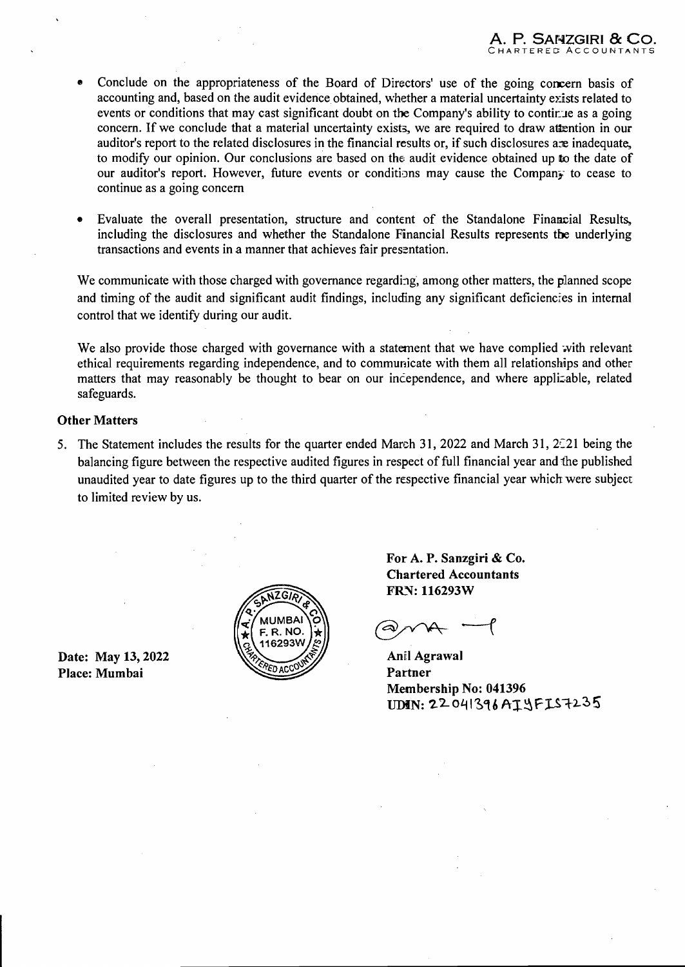- Conclude on the appropriateness of the Board of Directors' use of the going concern basis of accounting and, based on the audit evidence obtained, whether a material uncertainty exists related to events or conditions that may cast significant doubt on the Company's ability to continue as a going concern. If we conclude that a material uncertainty exists, we are required to draw attention in our auditor's report to the related disclosures in the financial results or, if such disclosures are inadequate, to modify our opinion. Our conclusions are based on the audit evidence obtained up to the date of our auditor's report. However, future events or conditions may cause the Company to cease to continue as a going concern
- Evaluate the overall presentation, structure and content of the Standalone Financial Results, including the disclosures and whether the Standalone Financial Results represents the underlying transactions and events in a manner that achieves fair presentation.

We communicate with those charged with governance regarding, among other matters, the planned scope and timing of the audit and significant audit findings, including any significant deficiencies in internal control that we identify during our audit.

We also provide those charged with governance with a statement that we have complied with relevant ethical requirements regarding independence, and to communicate with them all relationships and other matters that may reasonably be thought to bear on our incependence, and where applizable, related safeguards.

#### Other Matters

5. The Statement includes the results for the quarter ended March 31, 2022 and March 31,  $2\overline{c}21$  being the balancing figure between the respective audited figures in respect of full financial year and 1he published unaudited year to date figures up to the third quarter of the respective financial year which were subject to limited review by us.

Date: May 13, 2022 Place: Mumbai



For A. P. Sanzgiri & Co. Chartered Accountants FRN: 116293W

ಖ

Anil Agrawal Partner Membership No: 041396 UDIN: 22041396 AIYFIS7235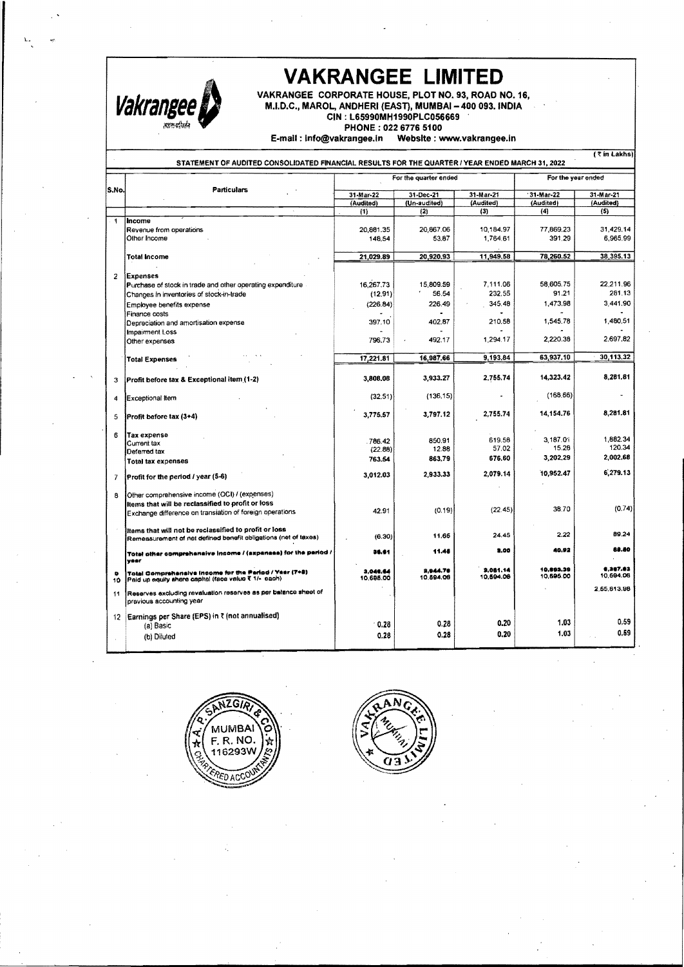

. '

L.

*VAKRANGEE LIMITED***<br>VAKRANGEE CORPORATE HOUSE, PLOT NO. 93, ROAD N<br>M.I.D.C., MAROL, ANDHERI (EAST), MUMBAI – 400 093. IN<br>CIN : L65990MH1990PLC056669** VAKRANGEE CORPORATE HOUSE, PLOT NO. 93, ROAD NO. 16. M.I.D.C., MAROL, ANDHERI (EAST), MUMBAI - 400 093. INDIA CIN : l65990MH1990PlC056669

PHONE: 022 6776 5100

E-mail: Info@vakrangee.ln Website: www.vakrangee.ln

|                | <b>Particulars</b>                                                                          |                        | For the quarter ended |           |           | For the year ended |  |
|----------------|---------------------------------------------------------------------------------------------|------------------------|-----------------------|-----------|-----------|--------------------|--|
| lS.No.         |                                                                                             | 31-Mar-22<br>31-Dec-21 |                       | 31-Mar-21 | 31-Mar-22 | 31-Mar-21          |  |
|                |                                                                                             | (Audited)              | (Un-audited)          | (Audited) | (Audited) | (Audited)          |  |
|                |                                                                                             | (1)                    | (2)                   | (3)       | (4)       | (5)                |  |
| 1              | Income                                                                                      |                        |                       |           |           |                    |  |
|                | Revenue from operations                                                                     | 20,881.35              | 20.867.06             | 10,184.97 | 77,869.23 | 31,429.14          |  |
|                | Other Income                                                                                | 148,54                 | 53.87                 | 1,764.61  | 391.29    | 6,965,99           |  |
|                | <b>Total Income</b>                                                                         | 21.029.89              | 20,920.93             | 11,949.58 | 78,260.52 | 38,395.13          |  |
|                |                                                                                             |                        |                       |           |           |                    |  |
| $\overline{2}$ | <b>Expenses</b>                                                                             |                        |                       |           |           |                    |  |
|                | Purchase of stock in trade and other operating expenditure                                  | 16.267.73              | 15,809.59             | 7,111.06  | 58,605.75 | 22,211.96          |  |
|                | Changes in inventories of stock-in-trade                                                    | (12.91)                | 56.54                 | 232.55    | 91.21     | 281.13             |  |
|                | Employee benefits expense                                                                   | (226.84)               | 226.49                | 345.48    | 1,473.98  | 3,441.90           |  |
|                | Finance costs                                                                               |                        |                       |           |           |                    |  |
|                | Depreciation and amortisation expense                                                       | 397.10                 | 402.87                | 210.58    | 1,545.78  | 1,480.51           |  |
|                | Impairment Loss                                                                             |                        |                       |           |           | 2,697.82           |  |
|                | Other expenses                                                                              | 796.73                 | 492.17                | 1,294.17  | 2,220.38  |                    |  |
|                | <b>Total Expenses</b>                                                                       | 17.221.81              | 16,987.66             | 9,193,84  | 63,937.10 | 30,113.32          |  |
|                |                                                                                             |                        |                       |           |           |                    |  |
| 3              | Profit before tax & Exceptional item (1-2)                                                  | 3,808.08               | 3.933.27              | 2.755.74  | 14,323.42 | 8,281.81           |  |
| 4              | Exceptional Item                                                                            | (32.51)                | (136, 15)             |           | (168, 66) |                    |  |
| 5              | Profit before tax (3+4)                                                                     | 3,775,57               | 3,797.12              | 2,755.74  | 14.154.76 | 8,281.81           |  |
|                |                                                                                             |                        |                       |           |           |                    |  |
| 6              | <b>Tax expense</b>                                                                          | 786.42                 | 850.91                | 619.58    | 3.187.01  | 1,882.34           |  |
|                | Current tax<br>Deferred tax                                                                 | (22.88)                | 12.88                 | 57.02     | 15.28     | 120.34             |  |
|                | <b>Total tax expenses</b>                                                                   | 763.54                 | 863,79                | 676.60    | 3,202.29  | 2,002,68           |  |
|                |                                                                                             | 3,012.03               | 2,933.33              | 2,079.14  | 10,952.47 | 6,279.13           |  |
| $\overline{7}$ | Profit for the period / year (5-6)                                                          |                        |                       |           |           |                    |  |
| 8              | Other comprehensive income (OCI) / (expenses)                                               |                        |                       |           |           |                    |  |
|                | Items that will be reclassified to profit or loss                                           |                        |                       |           |           |                    |  |
|                | Exchange difference on translation of foreign operations                                    | 42.91                  | (0.19)                | (22.45)   | 38.70     | (0.74)             |  |
|                | Items that will not be reclassified to profit or loss                                       |                        |                       | 24.45     | 2.22      | 89.24              |  |
|                | Remeasurement of net defined benefit obligations (net of taxes)                             | (6.30)                 | 11.65                 |           |           |                    |  |
|                | Total other comprehensive income / (aspanses) for the period /<br>yaar                      | 56.61                  | 11.45                 | 3.00      | 40.92     | 89.80              |  |
| ٠              | Total Comprehensive Income for the Period / Year (7+8)                                      | 3.048.84               | 2,944.78              | 3.081.14  | 10.003.39 | 8.367.63           |  |
| 10             | Paid up equity share capital (face value ₹ 1/- each)                                        | 10.695.00              | 10.594.06             | 10.594.06 | 10.696.00 | 10,594.06          |  |
| 11             | Reserves excluding revaluation reserves as per balance sheet of<br>previous accounting year |                        |                       |           |           | 2.55,813.98        |  |
| 12             | Earnings per Share (EPS) in ₹ (not annualised)                                              |                        |                       |           |           |                    |  |
|                | (a) Basic                                                                                   | 0.28                   | 0,28                  | 0.20      | 1.03      | 0.59               |  |
|                | (b) Diluted                                                                                 | 0.28                   | 0.28                  | 0.20      | 1.03      | 0.59               |  |



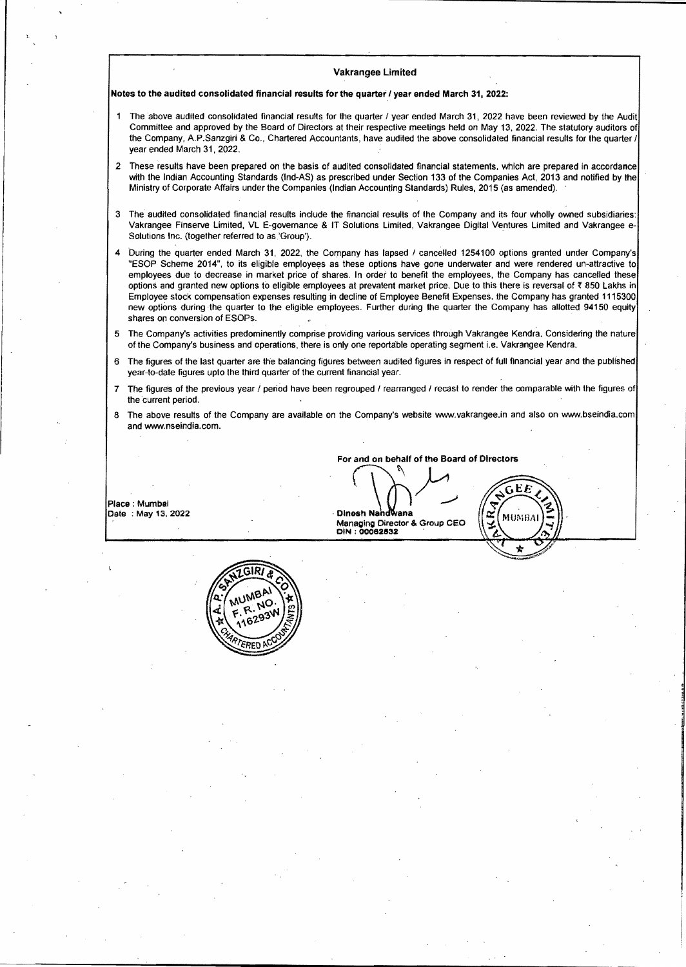Notes to the audited consolidated financial results for the quarter I year ended March 31, 2022:

- The above audited consolidated financial results for the quarter I year ended March 31, 2022 have been reviewed by the Audit Committee and approved by the Board of Directors at their respective meetings held on May 13, 2022. The statutory auditors of the Company, A.P.Sanzgiri & Co., Chartered Accountants, have audited the above consolidated financial results for the quarter / year ended March 31, 2022.
- 2 These results have been prepared on the basis of audited consolidated financial statements, which are prepared in accordance with the Indian Accounting Standards (Ind-AS) as prescribed under Section 133 of the Companies Act, 2013 and notified by the Ministry of Corporate Affairs under the Companies (Indian Accounting Standards) Rules, 2015 (as amended).
- 3 The audited consolidated financial results include the financial results of the Company and its four wholly owned subsidiaries: Vakrangee Finserve Limited, VL E-govemance & IT Solutions Limited, Vakrangee Digital Ventures Limited and Vakrangee e-Solutions Inc. (together referred to as 'Group').
- During the quarter ended March 31, 2022, the Company has lapsed / cancelled 1254100 options granted under Company's "ESOP Scheme 2014", to its eligible employees as these options have gone underwater and were rendered un-attractive to employees due to decrease in market price of shares. In order to benefit the employees, the Company has cancelled these options and granted new options to eligible employees at prevalent market price. Due to this there is reversal of ~ 850 Lakhs in Employee stock compensation expenses resulting in decline of Employee Benefit Expenses. the Company has granted 1115300 new options during the Quarter to the eligible employees. Further during the Quarter the Company has allotted 94150 equity shares on conversion of ESOPs.
- 5 The Company's activities predominently comprise providing various services through Vakrangee Kendra. Considering the nature of the Company's business and operations, there is only one reportable operating segment i.e. Vakrangee Kendra.
- 6 The figures of the last Quarter are the balancing figures between audited figures in respect of fun financial year and the published year-to-date figures upto the third quarter of the current financial year.
- 7 The figures of the previous year / period have been regrouped / rearranged / recast to render the comparable with the figures of the current period.
- 8 The above results of the Company are available on the Company's website www.vakrangee.in and also on www.bseindia.com and www.nseindia.com.

Dinesh Nandwana

For and on behalf of the Board of Directors<br>  $\bigcup_{n=1}^{\infty}$ 

EE

MUMBA

 $\alpha$ 

Dinesh Nandwana<br>Managing Director & Group CEO<br>DIN : 00062532

Place: Mumbal Date : May 13, 2022

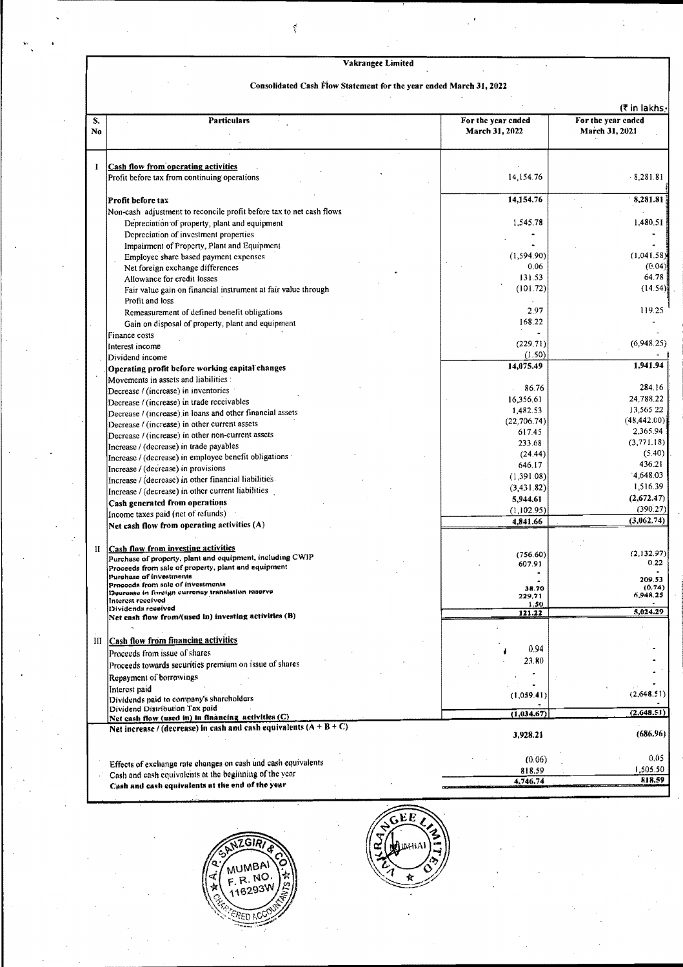#### Consolidated Cash Flow Statement for the year ended March 31, 2022

|          |                                                                                                                       |                                      | (₹ in lakhs-                         |
|----------|-----------------------------------------------------------------------------------------------------------------------|--------------------------------------|--------------------------------------|
| S.<br>No | <b>Particulars</b>                                                                                                    | For the year ended<br>March 31, 2022 | For the year ended<br>March 31, 2021 |
|          |                                                                                                                       |                                      |                                      |
|          |                                                                                                                       |                                      |                                      |
| I        | <b>Cash flow from operating activities</b>                                                                            |                                      |                                      |
|          | Profit before tax from continuing operations                                                                          | 14,154.76                            | $-8,281.81$                          |
|          |                                                                                                                       |                                      |                                      |
|          | Profit before tax                                                                                                     | 14,154.76                            | 8,281.81                             |
|          | Non-cash adjustment to reconcile profit before tax to net cash flows<br>Depreciation of property, plant and equipment | 1,545.78                             | 1,480.51                             |
|          | Depreciation of investment properties                                                                                 |                                      |                                      |
|          | Impairment of Property, Plant and Equipment                                                                           |                                      |                                      |
|          | Employee share based payment expenses                                                                                 | (1.594.90)                           | (1,041.58)                           |
|          | Net foreign exchange differences                                                                                      | 0.06                                 | (0.04)                               |
|          | Allowance for credit losses                                                                                           | 131.53                               | 64.78                                |
|          | Fair value gain on financial instrument at fair value through                                                         | (101.72)                             | (14.54)                              |
|          | Profit and loss                                                                                                       |                                      |                                      |
|          | Remeasurement of defined benefit obligations                                                                          | 2.97                                 | 119.25                               |
|          | Gain on disposal of property, plant and equipment                                                                     | 168.22                               |                                      |
|          | Finance costs                                                                                                         |                                      |                                      |
|          | Interest income                                                                                                       | (229.71)                             | (6,948.25)                           |
|          | Dividend income                                                                                                       | (1.50)                               |                                      |
|          | Operating profit before working eapital changes                                                                       | 14,075.49                            | 1.941.94                             |
|          | Movements in assets and liabilities :                                                                                 |                                      |                                      |
|          | Decrease / (increase) in inventories                                                                                  | 86.76                                | 284.16<br>24.788.22                  |
|          | Decrease / (increase) in trade receivables                                                                            | 16,356.61                            | 13.565 22                            |
|          | Decrease / (increase) in loans and other financial assets                                                             | 1,482.53<br>(22, 706.74)             | (48, 442.00)                         |
|          | Decrease / (increase) in other current assets                                                                         | 617.45                               | 2,365.94                             |
|          | Decrease / (increase) in other non-current assets                                                                     | 233.68                               | (3,771.18)                           |
|          | Increase / (decrease) in trade payables                                                                               | (24.44)                              | (5.40)                               |
|          | Increase / (decrease) in employee benefit obligations                                                                 | 646.17                               | 436.21                               |
|          | Increase / (decrease) in provisions<br>Increase / (decrease) in other financial liabilities                           | (1,391.08)                           | 4,648.03                             |
|          | Increase / (decrease) in other current liabilities                                                                    | (3, 431.82)                          | 1,516.39                             |
|          | Cash generated from operations                                                                                        | 5,944.61                             | (2,672.47)                           |
|          | Income taxes paid (net of refunds)                                                                                    | (1,102.95)                           | (390.27)                             |
|          | Net cash flow from operating activities (A)                                                                           | 4,841.66                             | (3,062.74)                           |
|          |                                                                                                                       |                                      |                                      |
| П        | <b>Cash flow from investing activities</b>                                                                            |                                      |                                      |
|          | Purchase of property, plant and equipment, including CWIP                                                             | (756.60)                             | (2,132.97)                           |
|          | Proceeds from sale of property, plant and equipment                                                                   | 607.91                               | 0.22                                 |
|          | Purchase of investments<br>Proceeds from sale of investments                                                          |                                      | 209.53                               |
|          | Decrease in foreign currency translation reserve                                                                      | 38.70<br>229,71                      | (0, 74)<br>6,948.25                  |
|          | Interest received<br>Dividends received                                                                               | 1.50                                 |                                      |
|          | Net cash flow from/(used in) investing activities (B)                                                                 | 121.22                               | 5,024.29                             |
|          |                                                                                                                       |                                      |                                      |
| Ш        | <b>Cash flow from financing activities</b>                                                                            |                                      |                                      |
|          | Proceeds from issue of shares                                                                                         | 0.94                                 |                                      |
|          | Proceeds towards securities premium on issue of shares                                                                | 23.80                                |                                      |
|          | Repayment of borrowings                                                                                               |                                      |                                      |
|          | Interest paid                                                                                                         |                                      |                                      |
|          | Dividends paid to company's shareholders                                                                              | (1,059.41)                           | (2.648.51)                           |
|          | Dividend Distribution Tax paid                                                                                        |                                      | (2.648.51)                           |
|          | Net cash flow (used in) in financing activities (C)                                                                   | (1,034.67)                           |                                      |
|          | Net increase / (decrease) in cash and cash equivalents $(A + B + C)$                                                  | 3,928.21                             | (686.96)                             |
|          |                                                                                                                       |                                      |                                      |
|          | Effects of exchange rate changes on cash and cash equivalents                                                         | (0.06)                               | 0.05                                 |
|          | Cash and eash equivalents at the beginning of the year                                                                | 818.59                               | 1,505.50                             |
|          | Cash and cosh controlants at the end of the veur-                                                                     | 4,746,74                             | 818.59                               |



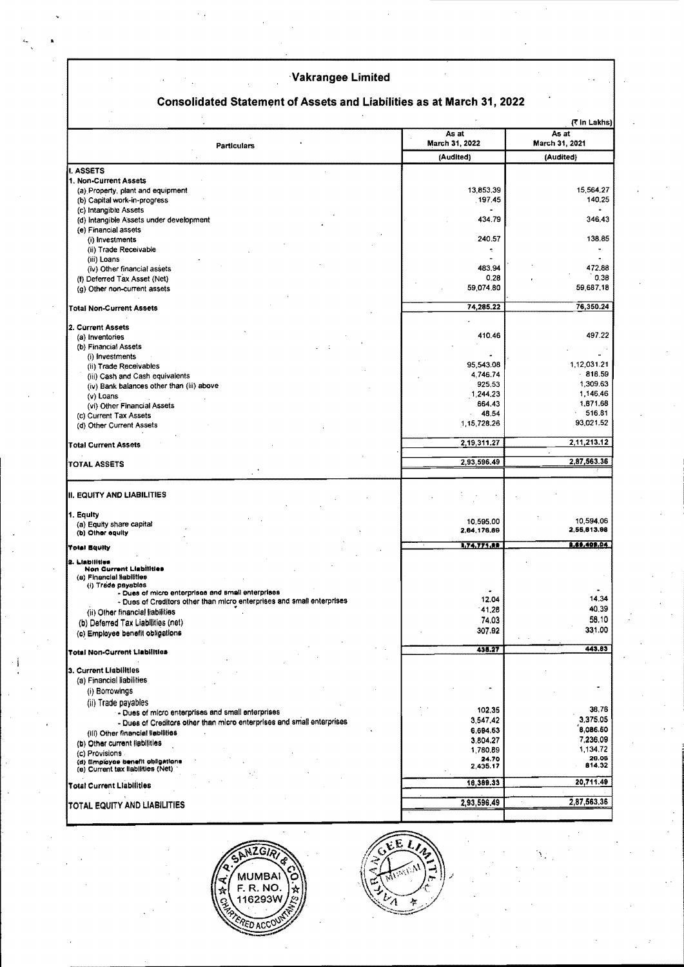# Consolidated Statement of Assets and Liabilities as at March 31, 2022

|                                                                          |                         | (₹ in Lakhs)            |
|--------------------------------------------------------------------------|-------------------------|-------------------------|
| Particulars                                                              | As at<br>March 31, 2022 | As at<br>March 31, 2021 |
|                                                                          | (Audited)               | (Audited)               |
| I. ASSETS                                                                |                         |                         |
| 1. Non-Current Assets                                                    |                         |                         |
| (a) Property, plant and equipment                                        | 13,853,39               | 15,564.27               |
| (b) Capital work-in-progress                                             | 197.45                  | 140.25                  |
| (c) Intangible Assets                                                    |                         |                         |
| (d) Intangible Assets under development                                  | 434.79                  | 346.43                  |
| (e) Financial assets<br>(i) Investments                                  | 240.57                  | 138.85                  |
| (ii) Trade Receivable                                                    | ۰                       |                         |
| (iii) Loans                                                              |                         |                         |
| (iv) Other financial assets                                              | 483.94                  | 472.88                  |
| (f) Deferred Tax Asset (Net)                                             | 0.28                    | 0.38                    |
| (g) Other non-current assets                                             | 59,074.80               | 59,687,18               |
|                                                                          |                         |                         |
| <b>Total Non-Current Assets</b>                                          | 74,285.22               | 76,350.24               |
|                                                                          |                         |                         |
| 2. Current Assets<br>(a) Inventories                                     | 410.46                  | 497.22                  |
| (b) Financial Assets                                                     |                         |                         |
| (i) Investments                                                          |                         |                         |
| (ii) Trade Receivables                                                   | 95.543.08               | 1,12,031.21             |
| (iii) Cash and Cash equivalents                                          | 4,746.74                | $-818.59$               |
| (iv) Bank balances other than (iii) above                                | 925.53                  | 1,309.63                |
| $(v)$ Loans                                                              | 1,244.23                | 1,146.46                |
| (vi) Other Financial Assets                                              | 664,43                  | 1,871.68                |
| (c) Current Tax Assets                                                   | 46.54<br>1,15,728.26    | $-516.81$<br>93,021.52  |
| (d) Other Current Assets                                                 |                         |                         |
| <b>Total Current Assets</b>                                              | 2,19,311.27             | 2,11,213.12             |
|                                                                          |                         | 2,87,563.36             |
| <b>TOTAL ASSETS</b>                                                      | 2,93,596.49             |                         |
|                                                                          |                         |                         |
| II. EQUITY AND LIABILITIES                                               |                         |                         |
| 1. Equity                                                                |                         |                         |
| (a) Equity share capital                                                 | 10,595.00               | 10,594.06               |
| (b) Other equity                                                         | 2,64,176.89             | 2,55,813.98             |
| <b>Total Bquily</b>                                                      | 1,74,771.88             | 8.69.409.04             |
| 2. Liabilitien                                                           |                         |                         |
| <b>Non Current Liabilities</b><br>(a) Financial liabilities              |                         |                         |
| (i) Trade payables<br>- Dues of micro enterprises and small enterprises  |                         |                         |
| - Dues of Creditors other than micro enterprises and small enterprises   | 12.04                   | 14.34                   |
| (ii) Other financial liabilities                                         | 41.28                   | 40.39                   |
| (b) Deferred Tax Liabilities (net)                                       | 74.03                   | 58.10                   |
| (c) Employee benefit obligations                                         | 307.92                  | 331.00                  |
|                                                                          |                         |                         |
| <b>Total Non-Current Liabilities</b>                                     | 438.27                  | 443.83                  |
| 3. Current Liabilities                                                   |                         |                         |
| (a) Financial liabilities                                                |                         |                         |
| (i) Borrowings                                                           |                         |                         |
|                                                                          |                         |                         |
| (ii) Trade payables<br>- Dues of micro enterprises and small enterprises | 102.35                  | 38,76                   |
| - Dues of Creditors other than micro enterprises and small enterprises   | 3,547,42                | 3,375.05                |
| (iii) Other financial liabilities                                        | 6,694.53                | 8,086.50                |
| (b) Other current fiebilities                                            | 3.804.27                | 7,236.09                |
| (c) Provisions.                                                          | 1,780.89                | 1.134.72                |
| (d) Employee benefit obligations<br>(e) Current tax liabilities (Net)    | 24.70<br>2,435.17       | 20.06<br>814.32         |
|                                                                          |                         |                         |
| <b>Total Current Liabilities</b>                                         | 18,389.33               | 20,711.49               |
| TOTAL EQUITY AND LIABILITIES                                             | 2,93,596.49             | 2,87,563,36             |
|                                                                          |                         |                         |



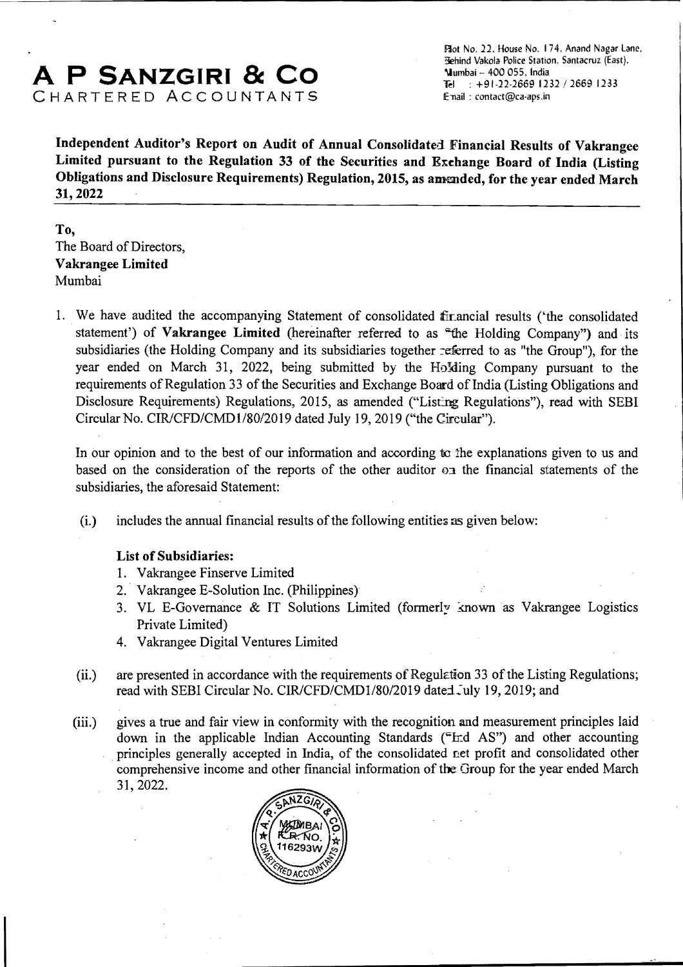# A **P SANZGIRI & CO**  CHARTERED ACCOUNTANTS

Flot No. 22. House No. 174, Anand Nagar Lane. Rehind Vakola Police Station, Santacruz (East). '\Iumbai 400055, India Tel:  $+91-22-2669$  1232 / 2669 1233 E-nail : contact@ca-aps.in

Independent Auditor's Report on Audit of Annual Consolidated Financial Results of Vakrangee Limited pursuant to the Regulation 33 of the Securities and Exchange Board of India (Listing Obligations and Disclosure Requirements) Regulation, 2015, as amended, for the year ended March 31,2022

## To, The Board of Directors, Vakrangee Limited Mumbai

1. We have audited the accompanying Statement of consolidated firancial results ('the consolidated statement') of Vakrangee Limited (hereinafter referred to as "the Holding Company") and its subsidiaries (the Holding Company and its subsidiaries together :eferred to as "the Group"), for the year ended on March 31, 2022, being submitted by the HoMing Company pursuant to the requirements of Regulation 33 of the Securities and Exchange Board of India (Listing Obligations and Disclosure Requirements) Regulations, 2015, as amended ("Listing Regulations"), read with SEBI Circular No. CIR/CFD/CMD1/80/2019 dated July 19, 2019 ("the Circular").

In our opinion and to the best of our information and according to the explanations given to us and based on the consideration of the reports of the other auditor  $\sigma$  a the financial statements of the subsidiaries, the aforesaid Statement:

 $(i.)$  includes the annual financial results of the following entities as given below:

## List of Subsidiaries:

- 1. Vakrangee Finserve Limited
- 2. Vakrangee E-Solution Inc. (Philippines)
- 3. VL E-Governance & IT Solutions Limited (formerly known as Vakrangee Logistics Private Limited)
- 4. Vakrangee Digital Ventures Limited
- (ii.) are presented in accordance with the requirements of Regulction 33 of the Listing Regulations; read with SEBI Circular No. CIR/CFD/CMD1/80/2019 dated July 19, 2019; and
- (iii.) gives a true and fair view in conformity with the recognition and measurement principles laid down in the applicable Indian Accounting Standards ( $\text{Frd AS}$ ") and other accounting principles generally accepted in India, of the consolidated net profit and consolidated other comprehensive income and other financial information of the Group for the year ended March 31,2022.

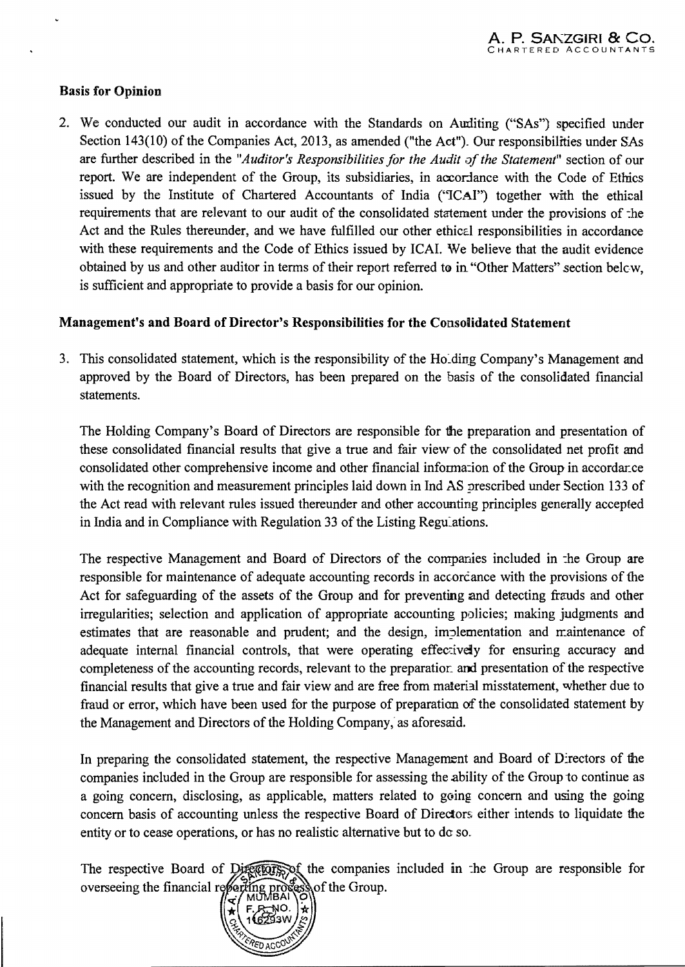## Basis for Opinion

2. We conducted our audit in accordance with the Standards on Aurliting ("SAs") specified under Section 143(10) of the Companies Act, 2013, as amended ("the Act"). Our responsibilities under SAs are further described in the *"Auditor's Responsibilities for the Audit of the Statement"* section of our report. We are independent of the Group, its subsidiaries, in accordance with the Code of Ethics issued by the Institute of Chartered Accountants of India ("ICAI") together with the ethical requirements that are relevant to our audit of the consolidated statement under the provisions of :he Act and the Rules thereunder, and we have fulfilled our other ethical responsibilities in accordance with these requirements and the Code of Ethics issued by ICAL We believe that the audit evidence obtained by us and other auditor in terms of their report referred to in "Other Matters" section below. is sufficient and appropriate to provide a basis for our opinion.

## Management's and Board of Director's Responsibilities for the Consolidated Statement

3. This consolidated statement, which is the responsibility of the Ho<sub>rding</sub> Company's Management and approved by the Board of Directors, has been prepared on the basis of the consolidated financial statements.

The Holding Company's Board of Directors are responsible for the preparation and presentation of these consolidated financial results that give a true and fair view of the consolidated net profit and consolidated other comprehensive income and other financial information of the Group in accordar.ce with the recognition and measurement principles laid down in Ind AS prescribed under Section 133 of the Act read with relevant rules issued thereunder and other accounting principles generally accepted in India and in Compliance with Regulation 33 of the Listing Regulations.

The respective Management and Board of Directors of the companies included in :he Group are responsible for maintenance of adequate accounting records in accordance with the provisions of the Act for safeguarding of the assets of the Group and for preventing and detecting frauds and other irregularities; selection and application of appropriate accounting policies; making judgments and estimates that are reasonable and prudent; and the design, implementation and maintenance of adequate internal financial controls, that were operating effectively for ensuring accuracy and completeness of the accounting records, relevant to the preparatior. and presentation of the respective financial results that give a true and fair view and are free from material misstatement, whether due to fraud or error, which have been used for the purpose of preparation of the consolidated statement by the Management and Directors of the Holding Company, as aforesaid.

In preparing the consolidated statement, the respective Management and Board of Directors of the companies included in the Group are responsible for assessing the ability of the Group 10 continue as a going concern, disclosing, as applicable, matters related to going concern and using the going concern basis of accounting unless the respective Board of Directors; either intends to liquidate the entity or to cease operations, or has no realistic alternative but to do so.

The respective Board of Directors, of the companies included in the Group are responsible for overseeing the financial reporting proof the Group.

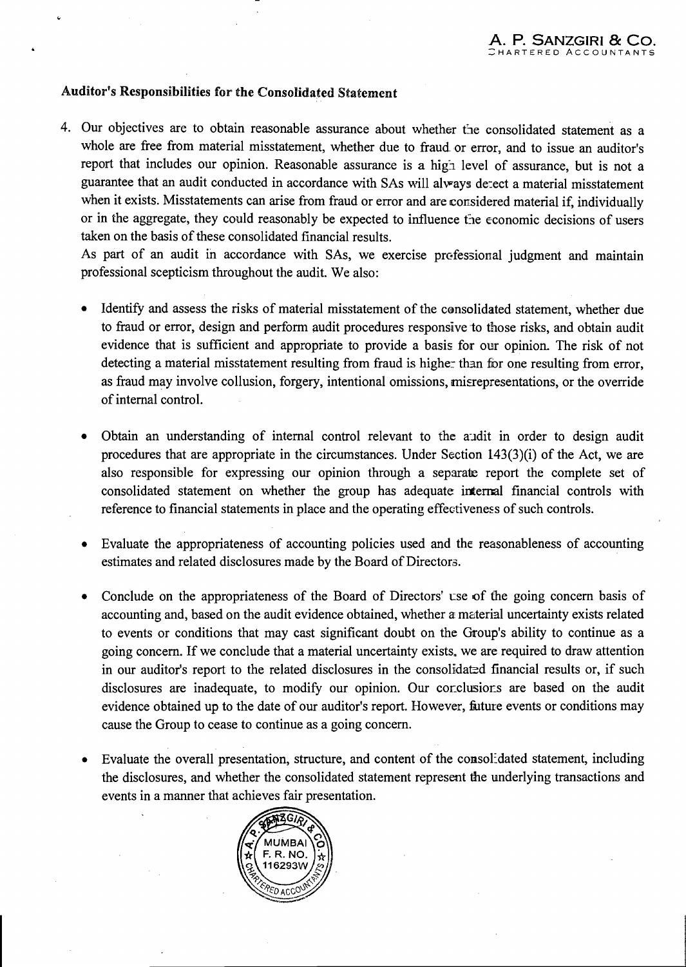## Auditor's Responsibilities for the Consolidated Statement

4. Our objectives are to obtain reasonable assurance about whether the consolidated statement as a whole are free from material misstatement, whether due to fraud or error, and to issue an auditor's report that includes our opinion. Reasonable assurance is a high level of assurance, but is not a guarantee that an audit conducted in accordance with SAs will always detect a material misstatement when it exists. Misstatements can arise from fraud or error and are considered material if, individually or in the aggregate, they could reasonably be expected to influence the economic decisions of users taken on the basis of these consolidated financial results.

As part of an audit in accordance with SAs, we exercise professional judgment and maintain professional scepticism throughout the audit. We also:

- Identify and assess the risks of material misstatement of the consolidated statement, whether due to fraud or error, design and perform audit procedures responsive to those risks, and obtain audit evidence that is sufficient and appropriate to provide a basis for our opinion. The risk of not detecting a material misstatement resulting from fraud is higher than for one resulting from error. as fraud may involve collusion, forgery, intentional omissions, misrepresentations, or the override of internal control.
- Obtain an understanding of internal control relevant to the audit in order to design audit procedures that are appropriate in the circumstances. Under Section 143(3)(i) of the Act, we are also responsible for expressing our opinion through a separate report the complete set of consolidated statement on whether the group has adequate internal financial controls with reference to financial statements in place and the operating effectiveness of such controls.
- Evaluate the appropriateness of accounting policies used and the reasonableness of accounting estimates and related disclosures made by the Board of Directors.
- Conclude on the appropriateness of the Board of Directors' use of the going concern basis of accounting and, based on the audit evidence obtained, whether a material uncertainty exists related to events or conditions that may cast significant doubt on the Group's ability to continue as a going concern. If we conclude that a material uncertainty exists, we are required to draw attention in our auditor's report to the related disclosures in the consolidated financial results or, if such disclosures are inadequate, to modify our opinion. Our corclusions are based on the audit evidence obtained up to the date of our auditor's report. However, future events or conditions may cause the Group to cease to continue as a going concern.
- Evaluate the overall presentation, structure, and content of the consolidated statement, including the disclosures, and whether the consolidated statement represent the underlying transactions and events in a manner that achieves fair presentation.

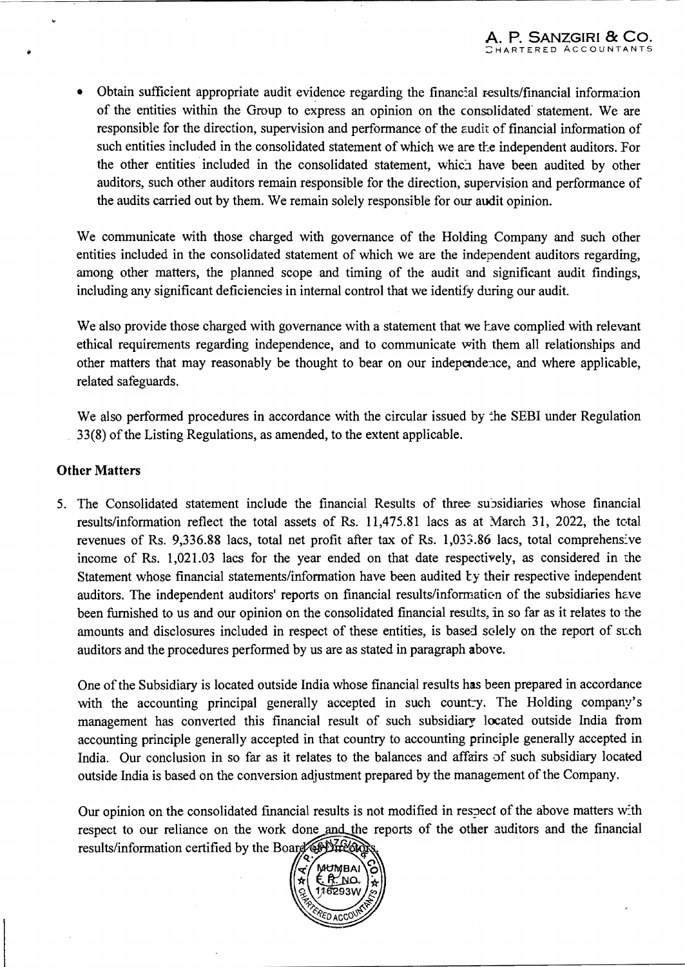• Obtain sufficient appropriate audit evidence regarding the financial results/financial information of the entities within the Group to express an opinion on the consolidated statement. We are responsible for the direction, supervision and performance of the *zudit* of financial information of such entities included in the consolidated statement of which we are the independent auditors. For the other entities included in the consolidated statement, whici have been audited by other auditors, such other auditors remain responsible for the direction, supervision and performance of the audits carried out by them. We remain solely responsible for our audit opinion.

We communicate with those charged with governance of the Holding Company and such other entities included in the consolidated statement of which we are the independent auditors regarding, among other matters, the planned scope and timing of the audit and significant audit findings, including any significant deficiencies in internal control that we identify during our audit.

We also provide those charged with governance with a statement that we have complied with relevant ethical requirements regarding independence, and to communicate with them all relationships and other matters that may reasonably be thought to bear on our independence, and where applicable, related safeguards.

We also performed procedures in accordance with the circular issued by the SEBI under Regulation 33(8) of the Listing Regulations, as amended, to the extent applicable.

#### Other Matters

5. The Consolidated statement include the financial Results of three supsidiaries whose financial results/information reflect the total assets of Rs. 11,475.81 lacs as at March 31, 2022, the total revenues of Rs. 9,336.88 lacs, total net profit after tax of Rs. 1,033.86 lacs, total comprehensive income of Rs. 1,021.03 lacs for the year ended on that date respectively, as considered in the Statement whose financial statements/information have been audited by their respective independent auditors. The independent auditors' reports on financial results/information of the subsidiaries have been furnished to us and our opinion on the consolidated financial results, in so far as it relates to the amounts and disclosures included in respect of these entities, is based solely on the report of such auditors and the procedures performed by us are as stated in paragraph above.

One of the Subsidiary is located outside India whose financial results has been prepared in accordance with the accounting principal generally accepted in such count:y. The Holding company's management has converted this financial result of such subsidiary located outside India from accounting principle generally accepted in that country to accounting principle generally accepted in India. Our conclusion in so far as it relates to the balances and affairs of such subsidiary located outside India is based on the conversion adjustment prepared by the management of the Company.

Our opinion on the consolidated financial results is not modified in respect of the above matters with respect to our reliance on the work done and the reports of the other auditors and the financial results/information certified by the Board CPDIFEGIO